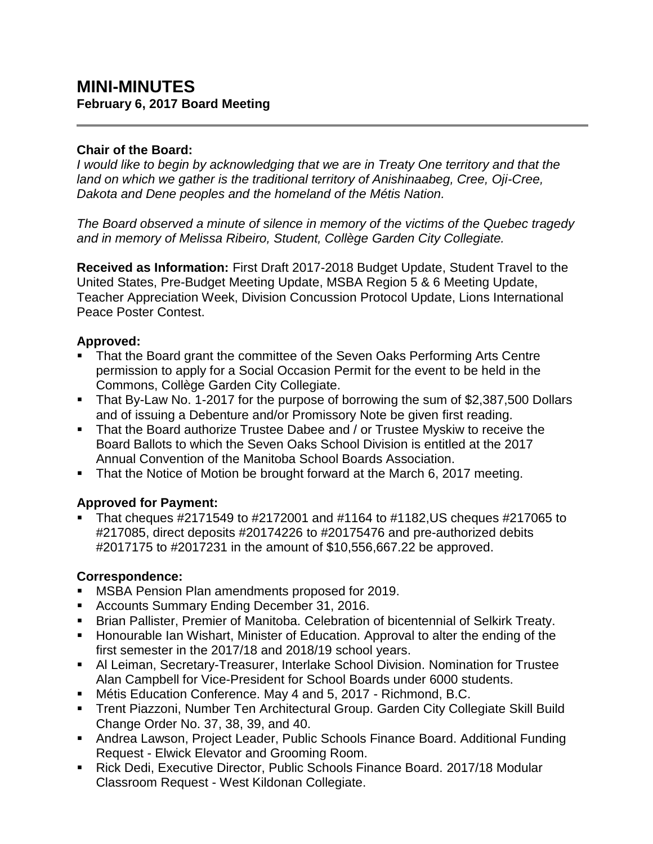# **MINI-MINUTES February 6, 2017 Board Meeting**

### **Chair of the Board:**

*I would like to begin by acknowledging that we are in Treaty One territory and that the land on which we gather is the traditional territory of Anishinaabeg, Cree, Oji-Cree, Dakota and Dene peoples and the homeland of the Métis Nation.*

*The Board observed a minute of silence in memory of the victims of the Quebec tragedy and in memory of Melissa Ribeiro, Student, Collège Garden City Collegiate.* 

**Received as Information:** First Draft 2017-2018 Budget Update, Student Travel to the United States, Pre-Budget Meeting Update, MSBA Region 5 & 6 Meeting Update, Teacher Appreciation Week, Division Concussion Protocol Update, Lions International Peace Poster Contest.

#### **Approved:**

- That the Board grant the committee of the Seven Oaks Performing Arts Centre permission to apply for a Social Occasion Permit for the event to be held in the Commons, Collège Garden City Collegiate.
- That By-Law No. 1-2017 for the purpose of borrowing the sum of \$2,387,500 Dollars and of issuing a Debenture and/or Promissory Note be given first reading.
- **That the Board authorize Trustee Dabee and / or Trustee Myskiw to receive the** Board Ballots to which the Seven Oaks School Division is entitled at the 2017 Annual Convention of the Manitoba School Boards Association.
- That the Notice of Motion be brought forward at the March 6, 2017 meeting.

## **Approved for Payment:**

 That cheques #2171549 to #2172001 and #1164 to #1182,US cheques #217065 to #217085, direct deposits #20174226 to #20175476 and pre-authorized debits #2017175 to #2017231 in the amount of \$10,556,667.22 be approved.

## **Correspondence:**

- **MSBA Pension Plan amendments proposed for 2019.**
- **Accounts Summary Ending December 31, 2016.**
- **Brian Pallister, Premier of Manitoba. Celebration of bicentennial of Selkirk Treaty.**
- **Honourable Ian Wishart, Minister of Education. Approval to alter the ending of the** first semester in the 2017/18 and 2018/19 school years.
- Al Leiman, Secretary-Treasurer, Interlake School Division. Nomination for Trustee Alan Campbell for Vice-President for School Boards under 6000 students.
- Métis Education Conference. May 4 and 5, 2017 Richmond, B.C.
- Trent Piazzoni, Number Ten Architectural Group. Garden City Collegiate Skill Build Change Order No. 37, 38, 39, and 40.
- Andrea Lawson, Project Leader, Public Schools Finance Board. Additional Funding Request - Elwick Elevator and Grooming Room.
- Rick Dedi, Executive Director, Public Schools Finance Board. 2017/18 Modular Classroom Request - West Kildonan Collegiate.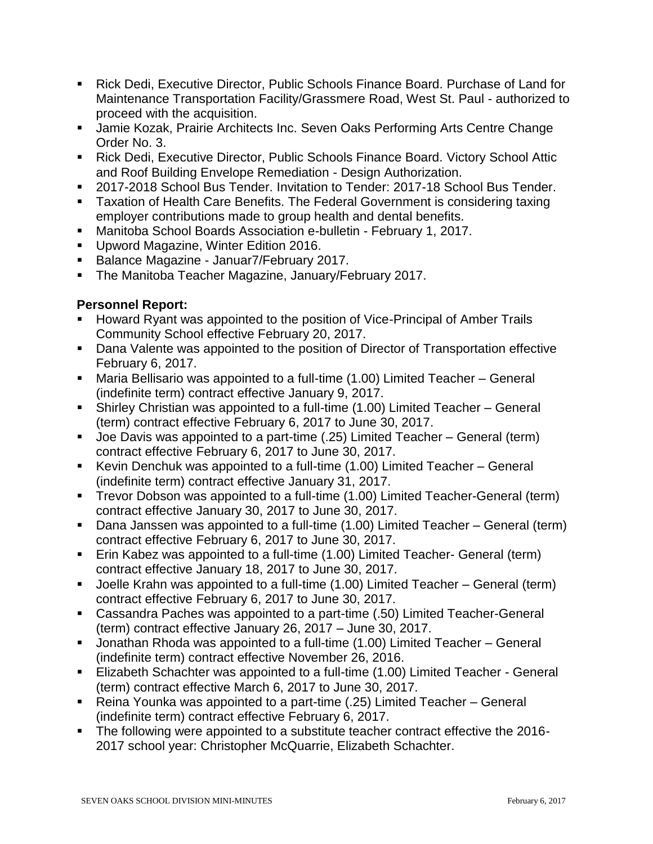- Rick Dedi, Executive Director, Public Schools Finance Board. Purchase of Land for Maintenance Transportation Facility/Grassmere Road, West St. Paul - authorized to proceed with the acquisition.
- **Jamie Kozak, Prairie Architects Inc. Seven Oaks Performing Arts Centre Change** Order No. 3.
- Rick Dedi, Executive Director, Public Schools Finance Board. Victory School Attic and Roof Building Envelope Remediation - Design Authorization.
- 2017-2018 School Bus Tender. Invitation to Tender: 2017-18 School Bus Tender.
- Taxation of Health Care Benefits. The Federal Government is considering taxing employer contributions made to group health and dental benefits.
- Manitoba School Boards Association e-bulletin February 1, 2017.
- **Upword Magazine, Winter Edition 2016.**
- Balance Magazine Januar7/February 2017.
- **The Manitoba Teacher Magazine, January/February 2017.**

#### **Personnel Report:**

- Howard Ryant was appointed to the position of Vice-Principal of Amber Trails Community School effective February 20, 2017.
- Dana Valente was appointed to the position of Director of Transportation effective February 6, 2017.
- Maria Bellisario was appointed to a full-time (1.00) Limited Teacher General (indefinite term) contract effective January 9, 2017.
- Shirley Christian was appointed to a full-time (1.00) Limited Teacher General (term) contract effective February 6, 2017 to June 30, 2017.
- Joe Davis was appointed to a part-time (.25) Limited Teacher General (term) contract effective February 6, 2017 to June 30, 2017.
- Kevin Denchuk was appointed to a full-time (1.00) Limited Teacher General (indefinite term) contract effective January 31, 2017.
- Trevor Dobson was appointed to a full-time (1.00) Limited Teacher-General (term) contract effective January 30, 2017 to June 30, 2017.
- Dana Janssen was appointed to a full-time (1.00) Limited Teacher General (term) contract effective February 6, 2017 to June 30, 2017.
- Erin Kabez was appointed to a full-time (1.00) Limited Teacher- General (term) contract effective January 18, 2017 to June 30, 2017.
- Joelle Krahn was appointed to a full-time (1.00) Limited Teacher General (term) contract effective February 6, 2017 to June 30, 2017.
- Cassandra Paches was appointed to a part-time (.50) Limited Teacher-General (term) contract effective January 26, 2017 – June 30, 2017.
- Jonathan Rhoda was appointed to a full-time (1.00) Limited Teacher General (indefinite term) contract effective November 26, 2016.
- Elizabeth Schachter was appointed to a full-time (1.00) Limited Teacher General (term) contract effective March 6, 2017 to June 30, 2017.
- Reina Younka was appointed to a part-time (.25) Limited Teacher General (indefinite term) contract effective February 6, 2017.
- The following were appointed to a substitute teacher contract effective the 2016-2017 school year: Christopher McQuarrie, Elizabeth Schachter.